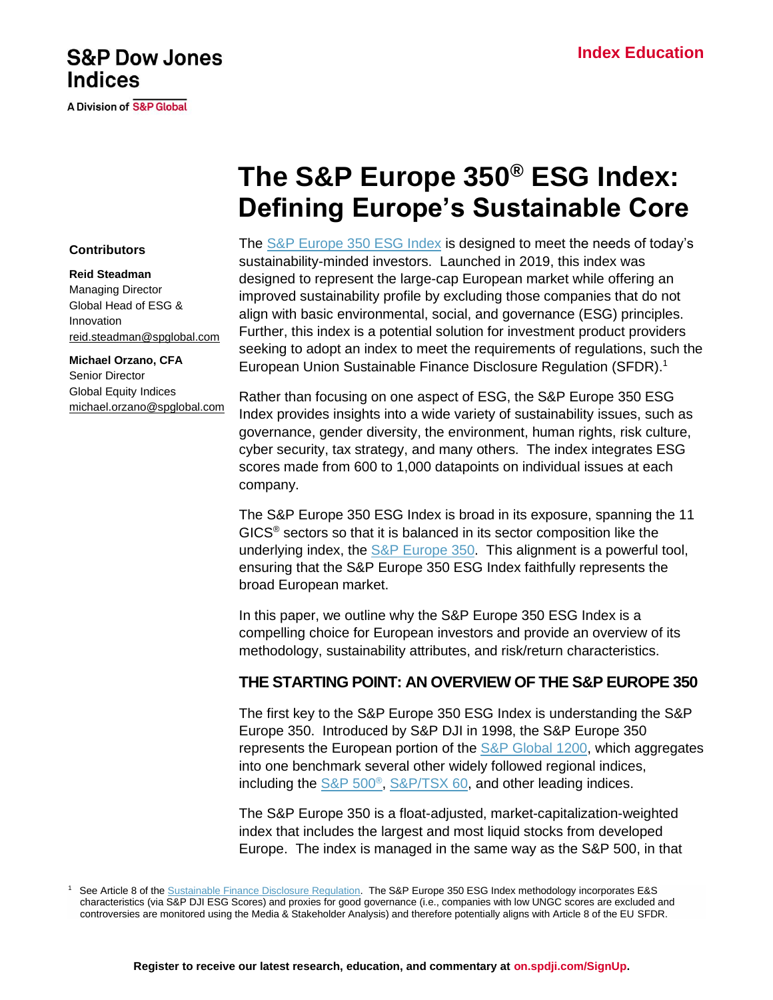# **S&P Dow Jones Indices**

**A Division of S&P Global** 

# **The S&P Europe 350® ESG Index: Defining Europe's Sustainable Core**

#### **Contributors**

#### **Reid Steadman**

Managing Director Global Head of ESG & Innovation [reid.steadman@spglobal.com](mailto:reid.steadman@spglobal.com)

**Michael Orzano, CFA** Senior Director Global Equity Indices [michael.orzano@spglobal.com](mailto:michael.orzano@spglobal.com) The [S&P Europe 350 ESG Index](https://www.spglobal.com/spdji/en/indices/esg/sp-europe-350-esg-index?utm_source=pdf_education) is designed to meet the needs of today's sustainability-minded investors. Launched in 2019, this index was designed to represent the large-cap European market while offering an improved sustainability profile by excluding those companies that do not align with basic environmental, social, and governance (ESG) principles. Further, this index is a potential solution for investment product providers seeking to adopt an index to meet the requirements of regulations, such the European Union Sustainable Finance Disclosure Regulation (SFDR).<sup>1</sup>

Rather than focusing on one aspect of ESG, the S&P Europe 350 ESG Index provides insights into a wide variety of sustainability issues, such as governance, gender diversity, the environment, human rights, risk culture, cyber security, tax strategy, and many others. The index integrates ESG scores made from 600 to 1,000 datapoints on individual issues at each company.

The S&P Europe 350 ESG Index is broad in its exposure, spanning the 11 GICS® sectors so that it is balanced in its sector composition like the underlying index, the [S&P Europe 350.](https://www.spglobal.com/spdji/en/indices/equity/sp-europe-350?utm_source=pdf_education) This alignment is a powerful tool, ensuring that the S&P Europe 350 ESG Index faithfully represents the broad European market.

In this paper, we outline why the S&P Europe 350 ESG Index is a compelling choice for European investors and provide an overview of its methodology, sustainability attributes, and risk/return characteristics.

# **THE STARTING POINT: AN OVERVIEW OF THE S&P EUROPE 350**

The first key to the S&P Europe 350 ESG Index is understanding the S&P Europe 350. Introduced by S&P DJI in 1998, the S&P Europe 350 represents the European portion of the [S&P Global 1200,](https://www.spglobal.com/spdji/en/indices/equity/sp-global-1200/?utm_source=pdf_education) which aggregates into one benchmark several other widely followed regional indices, including the **S&P 500<sup>®</sup>, S&P/TSX 60**, and other leading indices.

The S&P Europe 350 is a float-adjusted, market-capitalization-weighted index that includes the largest and most liquid stocks from developed Europe. The index is managed in the same way as the S&P 500, in that

<sup>1</sup> See Article 8 of the [Sustainable Finance Disclosure Regulation.](https://eur-lex.europa.eu/legal-content/EN/TXT/PDF/?uri=CELEX:32019R2088&rid=1) The S&P Europe 350 ESG Index methodology incorporates E&S characteristics (via S&P DJI ESG Scores) and proxies for good governance (i.e., companies with low UNGC scores are excluded and controversies are monitored using the Media & Stakeholder Analysis) and therefore potentially aligns with Article 8 of the EU SFDR.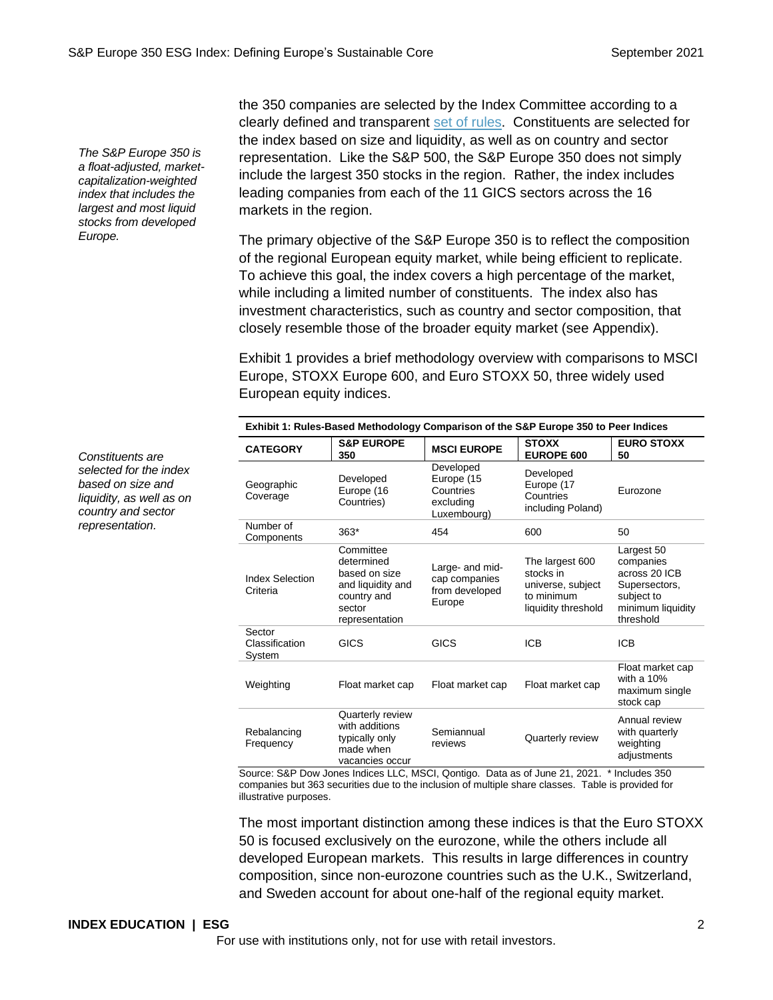*The S&P Europe 350 is a float-adjusted, marketcapitalization-weighted index that includes the largest and most liquid stocks from developed Europe.*

the 350 companies are selected by the Index Committee according to a clearly defined and transparent [set of rules.](https://www.spglobal.com/spdji/en/documents/methodologies/methodology-sp-europe-350-index-family.pdf?utm_source=pdf_education) Constituents are selected for the index based on size and liquidity, as well as on country and sector representation. Like the S&P 500, the S&P Europe 350 does not simply include the largest 350 stocks in the region. Rather, the index includes leading companies from each of the 11 GICS sectors across the 16 markets in the region.

The primary objective of the S&P Europe 350 is to reflect the composition of the regional European equity market, while being efficient to replicate. To achieve this goal, the index covers a high percentage of the market, while including a limited number of constituents. The index also has investment characteristics, such as country and sector composition, that closely resemble those of the broader equity market (see Appendix).

Exhibit 1 provides a brief methodology overview with comparisons to MSCI Europe, STOXX Europe 600, and Euro STOXX 50, three widely used European equity indices.

| Exhibit 1: Rules-Based Methodology Comparison of the S&P Europe 350 to Peer Indices |                                                                                                          |                                                                  |                                                                                        |                                                                                                           |  |
|-------------------------------------------------------------------------------------|----------------------------------------------------------------------------------------------------------|------------------------------------------------------------------|----------------------------------------------------------------------------------------|-----------------------------------------------------------------------------------------------------------|--|
| <b>CATEGORY</b>                                                                     | <b>S&amp;P EUROPE</b><br>350                                                                             | <b>MSCI EUROPE</b>                                               | <b>STOXX</b><br>EUROPE 600                                                             | <b>EURO STOXX</b><br>50                                                                                   |  |
| Geographic<br>Coverage                                                              | Developed<br>Europe (16<br>Countries)                                                                    | Developed<br>Europe (15<br>Countries<br>excluding<br>Luxembourg) | Developed<br>Europe (17<br>Countries<br>including Poland)                              | Eurozone                                                                                                  |  |
| Number of<br>Components                                                             | $363*$                                                                                                   | 454                                                              | 600                                                                                    | 50                                                                                                        |  |
| <b>Index Selection</b><br>Criteria                                                  | Committee<br>determined<br>based on size<br>and liquidity and<br>country and<br>sector<br>representation | Large- and mid-<br>cap companies<br>from developed<br>Europe     | The largest 600<br>stocks in<br>universe, subject<br>to minimum<br>liquidity threshold | Largest 50<br>companies<br>across 20 ICB<br>Supersectors,<br>subject to<br>minimum liquidity<br>threshold |  |
| Sector<br>Classification<br>System                                                  | <b>GICS</b>                                                                                              | GICS                                                             | <b>ICB</b>                                                                             | <b>ICB</b>                                                                                                |  |
| Weighting                                                                           | Float market cap                                                                                         | Float market cap                                                 | Float market cap                                                                       | Float market cap<br>with a $10%$<br>maximum single<br>stock cap                                           |  |
| Rebalancing<br>Frequency                                                            | Quarterly review<br>with additions<br>typically only<br>made when<br>vacancies occur                     | Semiannual<br>reviews                                            | Quarterly review                                                                       | Annual review<br>with quarterly<br>weighting<br>adjustments                                               |  |

Source: S&P Dow Jones Indices LLC, MSCI, Qontigo. Data as of June 21, 2021. \* Includes 350 companies but 363 securities due to the inclusion of multiple share classes. Table is provided for illustrative purposes.

The most important distinction among these indices is that the Euro STOXX 50 is focused exclusively on the eurozone, while the others include all developed European markets. This results in large differences in country composition, since non-eurozone countries such as the U.K., Switzerland, and Sweden account for about one-half of the regional equity market.

#### **INDEX EDUCATION | ESG** 2

For use with institutions only, not for use with retail investors.

*Constituents are selected for the index based on size and liquidity, as well as on country and sector representation.*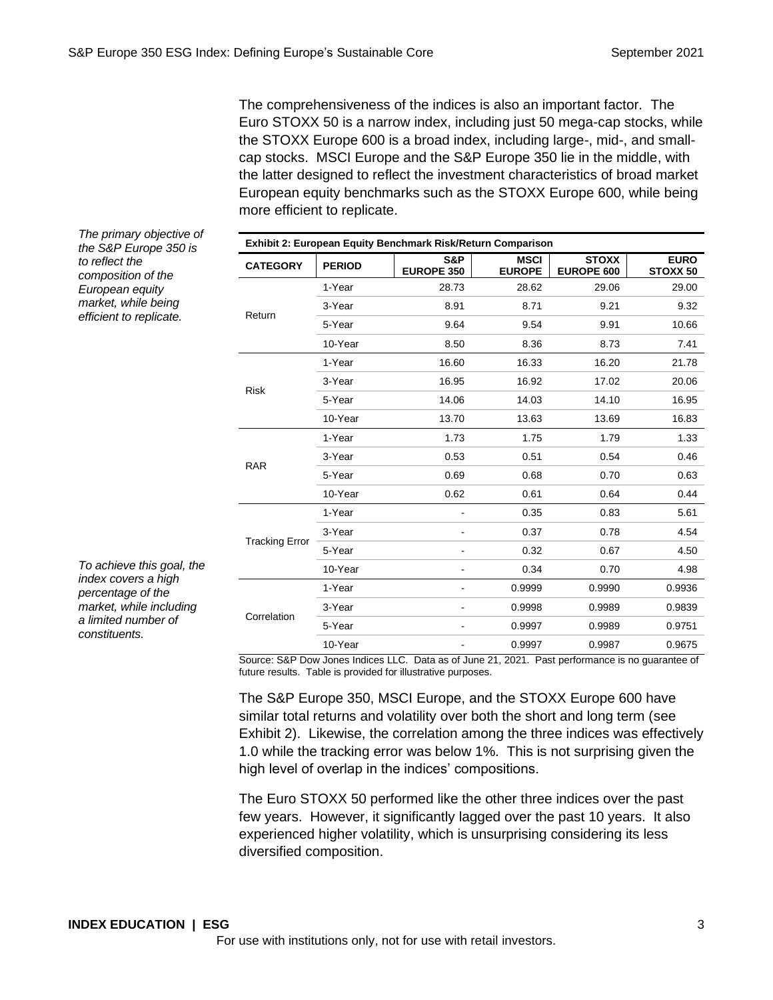The comprehensiveness of the indices is also an important factor. The Euro STOXX 50 is a narrow index, including just 50 mega-cap stocks, while the STOXX Europe 600 is a broad index, including large-, mid-, and smallcap stocks. MSCI Europe and the S&P Europe 350 lie in the middle, with the latter designed to reflect the investment characteristics of broad market European equity benchmarks such as the STOXX Europe 600, while being more efficient to replicate.

*The primary objective of the S&P Europe 350 is to reflect the composition of the European equity market, while being efficient to replicate.*

| To achieve this goal, the |
|---------------------------|
| index covers a high       |
| percentage of the         |
| market, while including   |
| a limited number of       |
| constituents.             |

| Exhibit 2: European Equity Benchmark Risk/Return Comparison |               |                          |                                                                                                                                                                 |                            |                                    |
|-------------------------------------------------------------|---------------|--------------------------|-----------------------------------------------------------------------------------------------------------------------------------------------------------------|----------------------------|------------------------------------|
| <b>CATEGORY</b>                                             | <b>PERIOD</b> | S&P<br><b>EUROPE 350</b> | <b>MSCI</b><br><b>EUROPE</b>                                                                                                                                    | <b>STOXX</b><br>EUROPE 600 | <b>EURO</b><br>STOXX <sub>50</sub> |
|                                                             | 1-Year        | 28.73                    | 28.62                                                                                                                                                           | 29.06                      | 29.00                              |
|                                                             | 3-Year        | 8.91                     | 8.71                                                                                                                                                            | 9.21                       | 9.32                               |
| Return                                                      | 5-Year        | 9.64                     | 9.54                                                                                                                                                            | 9.91                       | 10.66                              |
|                                                             | 10-Year       | 8.50                     | 8.36                                                                                                                                                            | 8.73                       | 7.41                               |
|                                                             | 1-Year        | 16.60                    | 16.33                                                                                                                                                           | 16.20                      | 21.78                              |
|                                                             | 3-Year        | 16.95                    | 16.92                                                                                                                                                           | 17.02                      | 20.06                              |
| <b>Risk</b>                                                 | 5-Year        | 14.06                    | 14.03<br>13.70<br>13.63<br>1.73<br>1.75<br>0.53<br>0.51<br>0.69<br>0.68<br>0.62<br>0.61<br>0.35<br>0.37<br>0.32<br>0.34<br>0.9999<br>0.9998<br>0.9997<br>0.9997 | 14.10                      | 16.95                              |
|                                                             | 10-Year       |                          |                                                                                                                                                                 | 13.69                      | 16.83                              |
|                                                             | 1-Year        |                          |                                                                                                                                                                 | 1.79                       | 1.33                               |
|                                                             | 3-Year        |                          |                                                                                                                                                                 | 0.54                       | 0.46                               |
| <b>RAR</b>                                                  | 5-Year        |                          |                                                                                                                                                                 | 0.70                       | 0.63                               |
|                                                             | 10-Year       |                          |                                                                                                                                                                 | 0.64                       | 0.44                               |
|                                                             | 1-Year        |                          |                                                                                                                                                                 | 0.83                       | 5.61                               |
|                                                             | 3-Year        |                          |                                                                                                                                                                 | 0.78                       | 4.54                               |
| <b>Tracking Error</b>                                       | 5-Year        |                          |                                                                                                                                                                 | 0.67                       | 4.50                               |
|                                                             | 10-Year       |                          |                                                                                                                                                                 | 0.70                       | 4.98                               |
|                                                             | 1-Year        |                          |                                                                                                                                                                 | 0.9990                     | 0.9936                             |
|                                                             | 3-Year        |                          | 0.9989                                                                                                                                                          | 0.9839                     |                                    |
| Correlation                                                 | 5-Year        |                          |                                                                                                                                                                 | 0.9989                     | 0.9751                             |
|                                                             | 10-Year       |                          |                                                                                                                                                                 | 0.9987                     | 0.9675                             |

Source: S&P Dow Jones Indices LLC. Data as of June 21, 2021. Past performance is no guarantee of future results. Table is provided for illustrative purposes.

The S&P Europe 350, MSCI Europe, and the STOXX Europe 600 have similar total returns and volatility over both the short and long term (see Exhibit 2). Likewise, the correlation among the three indices was effectively 1.0 while the tracking error was below 1%. This is not surprising given the high level of overlap in the indices' compositions.

The Euro STOXX 50 performed like the other three indices over the past few years. However, it significantly lagged over the past 10 years. It also experienced higher volatility, which is unsurprising considering its less diversified composition.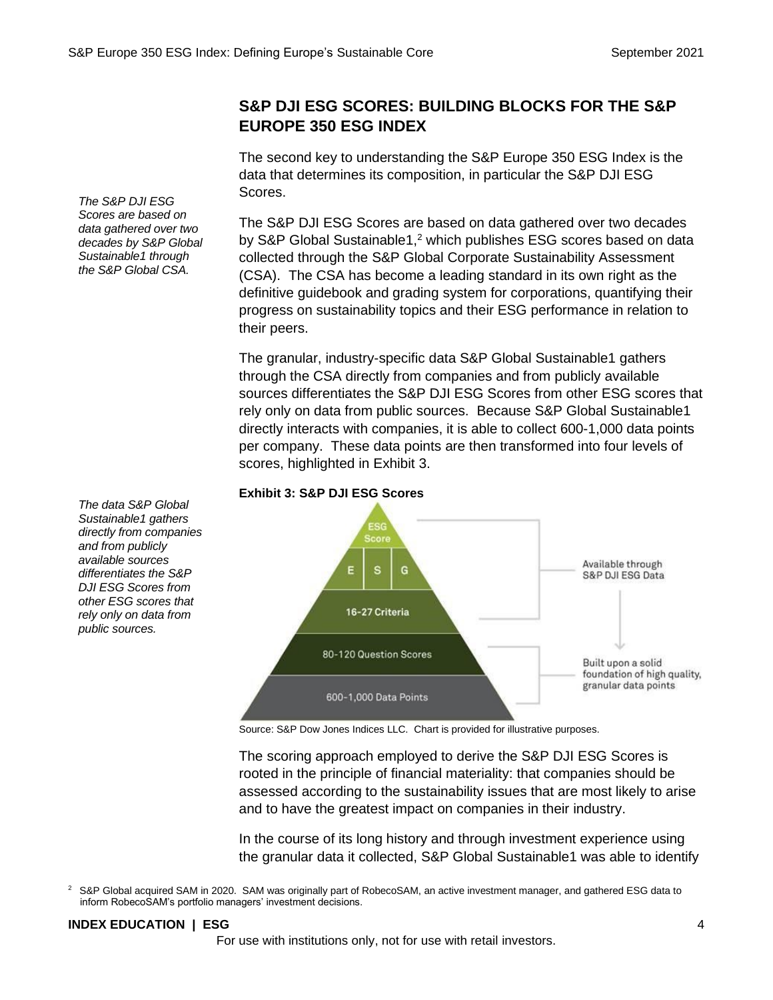# **S&P DJI ESG SCORES: BUILDING BLOCKS FOR THE S&P EUROPE 350 ESG INDEX**

The second key to understanding the S&P Europe 350 ESG Index is the data that determines its composition, in particular the S&P DJI ESG Scores.

The S&P DJI ESG Scores are based on data gathered over two decades by S&P Global Sustainable1,<sup>2</sup> which publishes ESG scores based on data collected through the S&P Global Corporate Sustainability Assessment (CSA). The CSA has become a leading standard in its own right as the definitive guidebook and grading system for corporations, quantifying their progress on sustainability topics and their ESG performance in relation to their peers.

The granular, industry-specific data S&P Global Sustainable1 gathers through the CSA directly from companies and from publicly available sources differentiates the S&P DJI ESG Scores from other ESG scores that rely only on data from public sources. Because S&P Global Sustainable1 directly interacts with companies, it is able to collect 600-1,000 data points per company. These data points are then transformed into four levels of scores, highlighted in Exhibit 3.

#### **Exhibit 3: S&P DJI ESG Scores**



Source: S&P Dow Jones Indices LLC. Chart is provided for illustrative purposes.

The scoring approach employed to derive the S&P DJI ESG Scores is rooted in the principle of financial materiality: that companies should be assessed according to the sustainability issues that are most likely to arise and to have the greatest impact on companies in their industry.

In the course of its long history and through investment experience using the granular data it collected, S&P Global Sustainable1 was able to identify

<sup>2</sup> S&P Global acquired SAM in 2020. SAM was originally part of RobecoSAM, an active investment manager, and gathered ESG data to inform RobecoSAM's portfolio managers' investment decisions.

#### **INDEX EDUCATION | ESG** 4

For use with institutions only, not for use with retail investors.

*The S&P DJI ESG Scores are based on data gathered over two decades by S&P Global Sustainable1 through the S&P Global CSA.*

*The data S&P Global Sustainable1 gathers directly from companies and from publicly available sources differentiates the S&P DJI ESG Scores from other ESG scores that rely only on data from public sources.*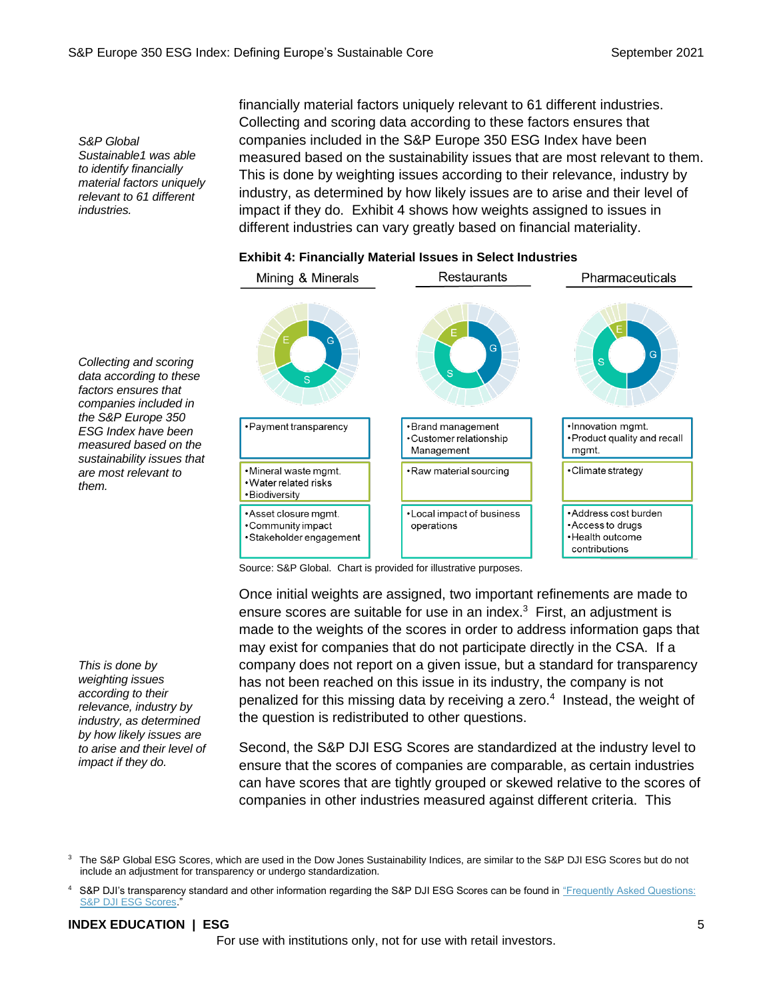*S&P Global Sustainable1 was able to identify financially material factors uniquely relevant to 61 different industries.*

*Collecting and scoring data according to these factors ensures that companies included in the S&P Europe 350 ESG Index have been measured based on the sustainability issues that are most relevant to* 

*them.*

financially material factors uniquely relevant to 61 different industries. Collecting and scoring data according to these factors ensures that companies included in the S&P Europe 350 ESG Index have been measured based on the sustainability issues that are most relevant to them. This is done by weighting issues according to their relevance, industry by industry, as determined by how likely issues are to arise and their level of impact if they do. Exhibit 4 shows how weights assigned to issues in different industries can vary greatly based on financial materiality.

# **Exhibit 4: Financially Material Issues in Select Industries**



Source: S&P Global. Chart is provided for illustrative purposes.

Once initial weights are assigned, two important refinements are made to ensure scores are suitable for use in an index. $3$  First, an adjustment is made to the weights of the scores in order to address information gaps that may exist for companies that do not participate directly in the CSA. If a company does not report on a given issue, but a standard for transparency has not been reached on this issue in its industry, the company is not penalized for this missing data by receiving a zero.<sup>4</sup> Instead, the weight of the question is redistributed to other questions.

Second, the S&P DJI ESG Scores are standardized at the industry level to ensure that the scores of companies are comparable, as certain industries can have scores that are tightly grouped or skewed relative to the scores of companies in other industries measured against different criteria. This

#### **INDEX EDUCATION | ESG** 5

For use with institutions only, not for use with retail investors.

*This is done by weighting issues according to their relevance, industry by industry, as determined by how likely issues are to arise and their level of impact if they do.*

<sup>&</sup>lt;sup>3</sup> The S&P Global ESG Scores, which are used in the Dow Jones Sustainability Indices, are similar to the S&P DJI ESG Scores but do not include an adjustment for transparency or undergo standardization.

<sup>4</sup> S&P DJI's transparency standard and other information regarding the S&P DJI ESG Scores can be found in ["Frequently Asked Questions:](https://www.spglobal.com/spdji/en/documents/additional-material/faq-spdji-esg-scores.pdf?utm_source=pdf_education)  [S&P DJI ESG Scores."](https://www.spglobal.com/spdji/en/documents/additional-material/faq-spdji-esg-scores.pdf?utm_source=pdf_education)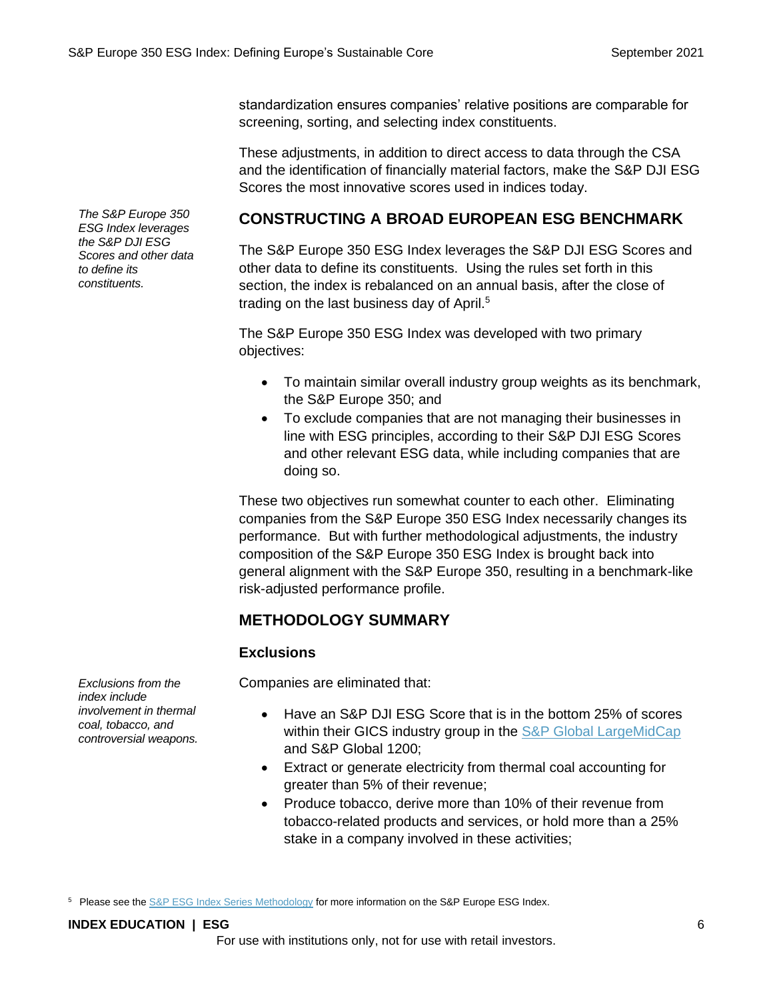standardization ensures companies' relative positions are comparable for screening, sorting, and selecting index constituents.

These adjustments, in addition to direct access to data through the CSA and the identification of financially material factors, make the S&P DJI ESG Scores the most innovative scores used in indices today.

### **CONSTRUCTING A BROAD EUROPEAN ESG BENCHMARK**

The S&P Europe 350 ESG Index leverages the S&P DJI ESG Scores and other data to define its constituents. Using the rules set forth in this section, the index is rebalanced on an annual basis, after the close of trading on the last business day of April.<sup>5</sup>

The S&P Europe 350 ESG Index was developed with two primary objectives:

- To maintain similar overall industry group weights as its benchmark, the S&P Europe 350; and
- To exclude companies that are not managing their businesses in line with ESG principles, according to their S&P DJI ESG Scores and other relevant ESG data, while including companies that are doing so.

These two objectives run somewhat counter to each other. Eliminating companies from the S&P Europe 350 ESG Index necessarily changes its performance. But with further methodological adjustments, the industry composition of the S&P Europe 350 ESG Index is brought back into general alignment with the S&P Europe 350, resulting in a benchmark-like risk-adjusted performance profile.

### **METHODOLOGY SUMMARY**

#### **Exclusions**

Companies are eliminated that:

- Have an S&P DJI ESG Score that is in the bottom 25% of scores within their GICS industry group in the [S&P Global LargeMidCap](https://spglobal.com/spdji/en/indices/equity/sp-global-largemidcap?utm_source=pdf_education) and S&P Global 1200;
- Extract or generate electricity from thermal coal accounting for greater than 5% of their revenue;
- Produce tobacco, derive more than 10% of their revenue from tobacco-related products and services, or hold more than a 25% stake in a company involved in these activities;

<sup>5</sup> Please see th[e S&P ESG Index Series Methodology](https://www.spglobal.com/spdji/en/documents/methodologies/methodology-sp-esg-index-series.pdf?utm_source=pdf_education) for more information on the S&P Europe ESG Index.

#### **INDEX EDUCATION | ESG** 6

For use with institutions only, not for use with retail investors.

*The S&P Europe 350 ESG Index leverages the S&P DJI ESG Scores and other data* 

*to define its constituents.*

*Exclusions from the index include involvement in thermal coal, tobacco, and controversial weapons.*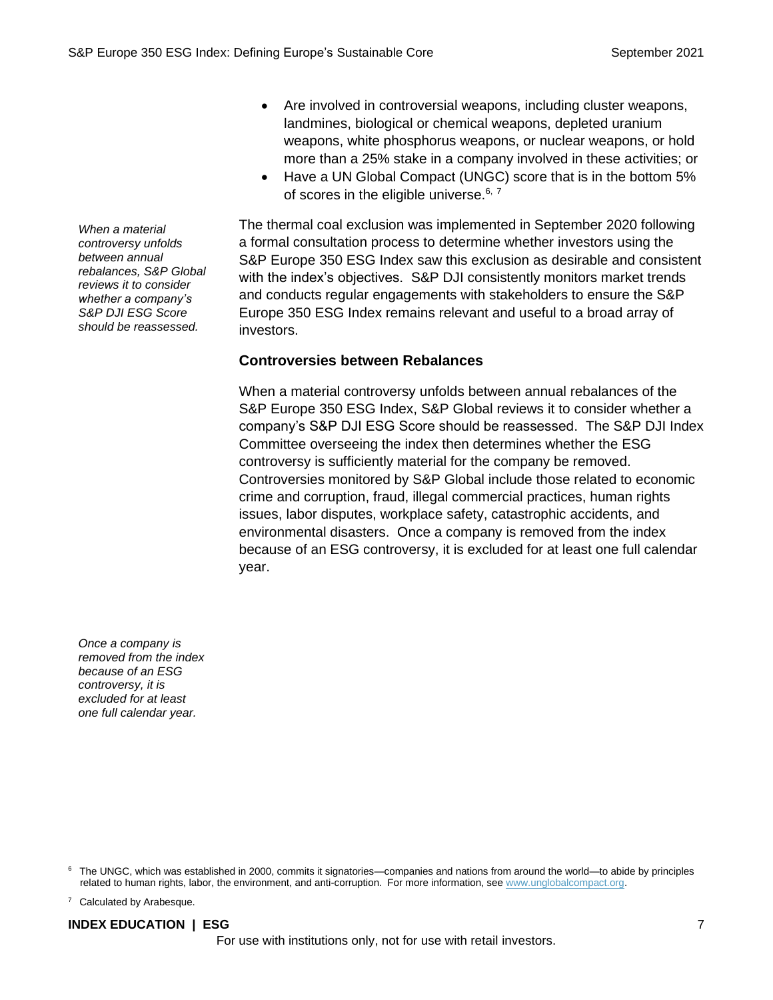- Are involved in controversial weapons, including cluster weapons, landmines, biological or chemical weapons, depleted uranium weapons, white phosphorus weapons, or nuclear weapons, or hold more than a 25% stake in a company involved in these activities; or
- Have a UN Global Compact (UNGC) score that is in the bottom 5% of scores in the eligible universe.<sup>6, 7</sup>

The thermal coal exclusion was implemented in September 2020 following a formal consultation process to determine whether investors using the S&P Europe 350 ESG Index saw this exclusion as desirable and consistent with the index's objectives. S&P DJI consistently monitors market trends and conducts regular engagements with stakeholders to ensure the S&P Europe 350 ESG Index remains relevant and useful to a broad array of investors.

#### **Controversies between Rebalances**

When a material controversy unfolds between annual rebalances of the S&P Europe 350 ESG Index, S&P Global reviews it to consider whether a company's S&P DJI ESG Score should be reassessed. The S&P DJI Index Committee overseeing the index then determines whether the ESG controversy is sufficiently material for the company be removed. Controversies monitored by S&P Global include those related to economic crime and corruption, fraud, illegal commercial practices, human rights issues, labor disputes, workplace safety, catastrophic accidents, and environmental disasters. Once a company is removed from the index because of an ESG controversy, it is excluded for at least one full calendar year.

*Once a company is removed from the index because of an ESG controversy, it is excluded for at least one full calendar year.*

<sup>6</sup> The UNGC, which was established in 2000, commits it signatories—companies and nations from around the world—to abide by principles related to human rights, labor, the environment, and anti-corruption. For more information, see [www.unglobalcompact.org.](https://www.unglobalcompact.org/)

<sup>7</sup> Calculated by Arabesque.

#### **INDEX EDUCATION | ESG** 7

For use with institutions only, not for use with retail investors.

*When a material controversy unfolds between annual rebalances, S&P Global reviews it to consider whether a company's S&P DJI ESG Score should be reassessed.*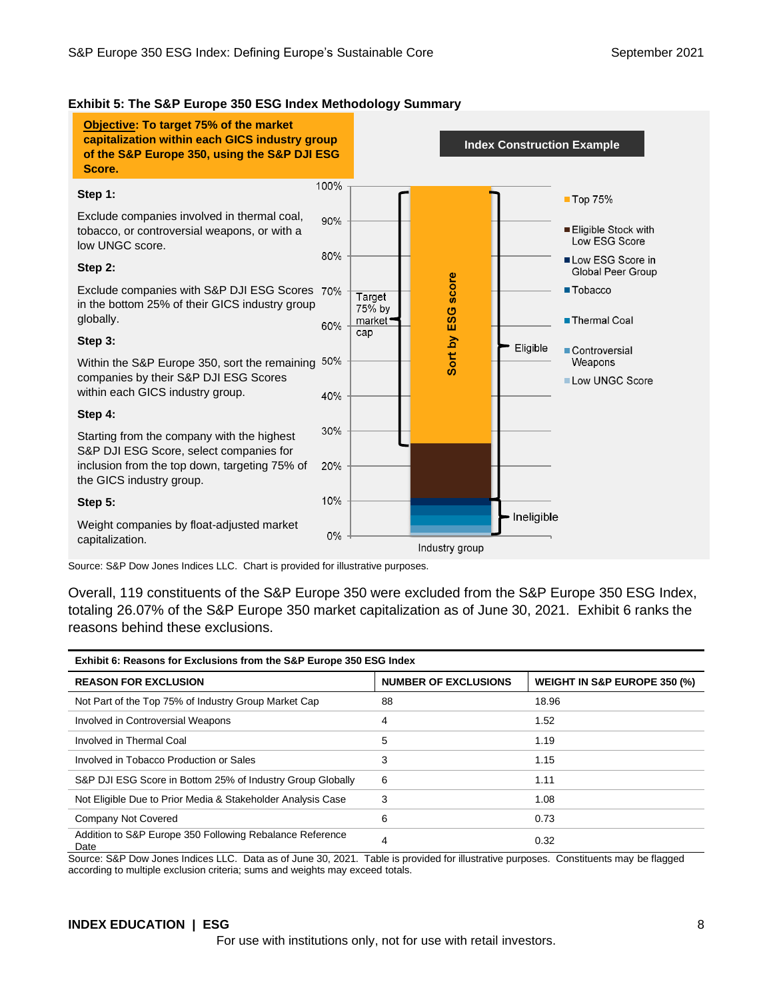#### **Exhibit 5: The S&P Europe 350 ESG Index Methodology Summary**

**Objective: To target 75% of the market capitalization within each GICS industry group Index Construction Exampleof the S&P Europe 350, using the S&P DJI ESG Score.** 100% **Step 1:** ■ Top 75% Exclude companies involved in thermal coal,  $90%$ tobacco, or controversial weapons, or with a Eligible Stock with Low ESG Score low UNGC score.  $80%$ Low ESG Score in **Step 2:** Global Peer Group Sort by ESG score Exclude companies with S&P DJI ESG Scores ■Tobacco Target in the bottom 25% of their GICS industry group 75% by globally. market<sup>•</sup> Thermal Coal 60% cap **Step 3:** Eligible **Controversial** Within the S&P Europe 350, sort the remaining 50% Weapons companies by their S&P DJI ESG Scores Low UNGC Score within each GICS industry group. 40% **Step 4:** 30% Starting from the company with the highest S&P DJI ESG Score, select companies for inclusion from the top down, targeting 75% of 20% the GICS industry group. 10% **Step 5:** Ineligible Weight companies by float-adjusted market  $0%$ 

capitalization.

Source: S&P Dow Jones Indices LLC. Chart is provided for illustrative purposes.

Overall, 119 constituents of the S&P Europe 350 were excluded from the S&P Europe 350 ESG Index, totaling 26.07% of the S&P Europe 350 market capitalization as of June 30, 2021. Exhibit 6 ranks the reasons behind these exclusions.

Industry group

| Exhibit 6: Reasons for Exclusions from the S&P Europe 350 ESG Index |                             |                              |  |  |
|---------------------------------------------------------------------|-----------------------------|------------------------------|--|--|
| <b>REASON FOR EXCLUSION</b>                                         | <b>NUMBER OF EXCLUSIONS</b> | WEIGHT IN S&P EUROPE 350 (%) |  |  |
| Not Part of the Top 75% of Industry Group Market Cap                | 88                          | 18.96                        |  |  |
| Involved in Controversial Weapons                                   | 4                           | 1.52                         |  |  |
| Involved in Thermal Coal                                            | 5                           | 1.19                         |  |  |
| Involved in Tobacco Production or Sales                             | 3                           | 1.15                         |  |  |
| S&P DJI ESG Score in Bottom 25% of Industry Group Globally          | 6                           | 1.11                         |  |  |
| Not Eligible Due to Prior Media & Stakeholder Analysis Case         | 3                           | 1.08                         |  |  |
| Company Not Covered                                                 | 6                           | 0.73                         |  |  |
| Addition to S&P Europe 350 Following Rebalance Reference<br>Date    | 4                           | 0.32                         |  |  |

Source: S&P Dow Jones Indices LLC. Data as of June 30, 2021. Table is provided for illustrative purposes. Constituents may be flagged according to multiple exclusion criteria; sums and weights may exceed totals.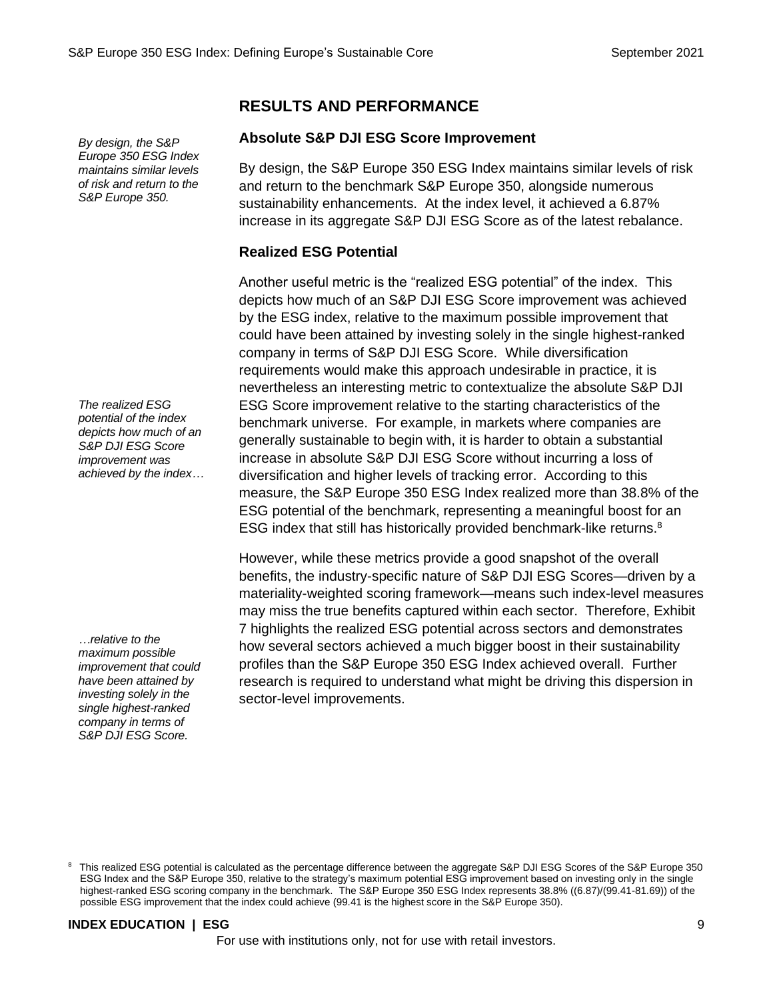*By design, the S&P Europe 350 ESG Index maintains similar levels of risk and return to the S&P Europe 350.*

*The realized ESG potential of the index depicts how much of an S&P DJI ESG Score improvement was achieved by the index…*

*…relative to the maximum possible improvement that could have been attained by investing solely in the single highest-ranked company in terms of S&P DJI ESG Score.*

# **RESULTS AND PERFORMANCE**

#### **Absolute S&P DJI ESG Score Improvement**

By design, the S&P Europe 350 ESG Index maintains similar levels of risk and return to the benchmark S&P Europe 350, alongside numerous sustainability enhancements. At the index level, it achieved a 6.87% increase in its aggregate S&P DJI ESG Score as of the latest rebalance.

#### **Realized ESG Potential**

Another useful metric is the "realized ESG potential" of the index. This depicts how much of an S&P DJI ESG Score improvement was achieved by the ESG index, relative to the maximum possible improvement that could have been attained by investing solely in the single highest-ranked company in terms of S&P DJI ESG Score. While diversification requirements would make this approach undesirable in practice, it is nevertheless an interesting metric to contextualize the absolute S&P DJI ESG Score improvement relative to the starting characteristics of the benchmark universe. For example, in markets where companies are generally sustainable to begin with, it is harder to obtain a substantial increase in absolute S&P DJI ESG Score without incurring a loss of diversification and higher levels of tracking error. According to this measure, the S&P Europe 350 ESG Index realized more than 38.8% of the ESG potential of the benchmark, representing a meaningful boost for an ESG index that still has historically provided benchmark-like returns.<sup>8</sup>

However, while these metrics provide a good snapshot of the overall benefits, the industry-specific nature of S&P DJI ESG Scores—driven by a materiality-weighted scoring framework—means such index-level measures may miss the true benefits captured within each sector. Therefore, Exhibit 7 highlights the realized ESG potential across sectors and demonstrates how several sectors achieved a much bigger boost in their sustainability profiles than the S&P Europe 350 ESG Index achieved overall. Further research is required to understand what might be driving this dispersion in sector-level improvements.

#### **INDEX EDUCATION | ESG** 9

For use with institutions only, not for use with retail investors.

<sup>8</sup> This realized ESG potential is calculated as the percentage difference between the aggregate S&P DJI ESG Scores of the S&P Europe 350 ESG Index and the S&P Europe 350, relative to the strategy's maximum potential ESG improvement based on investing only in the single highest-ranked ESG scoring company in the benchmark. The S&P Europe 350 ESG Index represents 38.8% ((6.87)/(99.41-81.69)) of the possible ESG improvement that the index could achieve (99.41 is the highest score in the S&P Europe 350).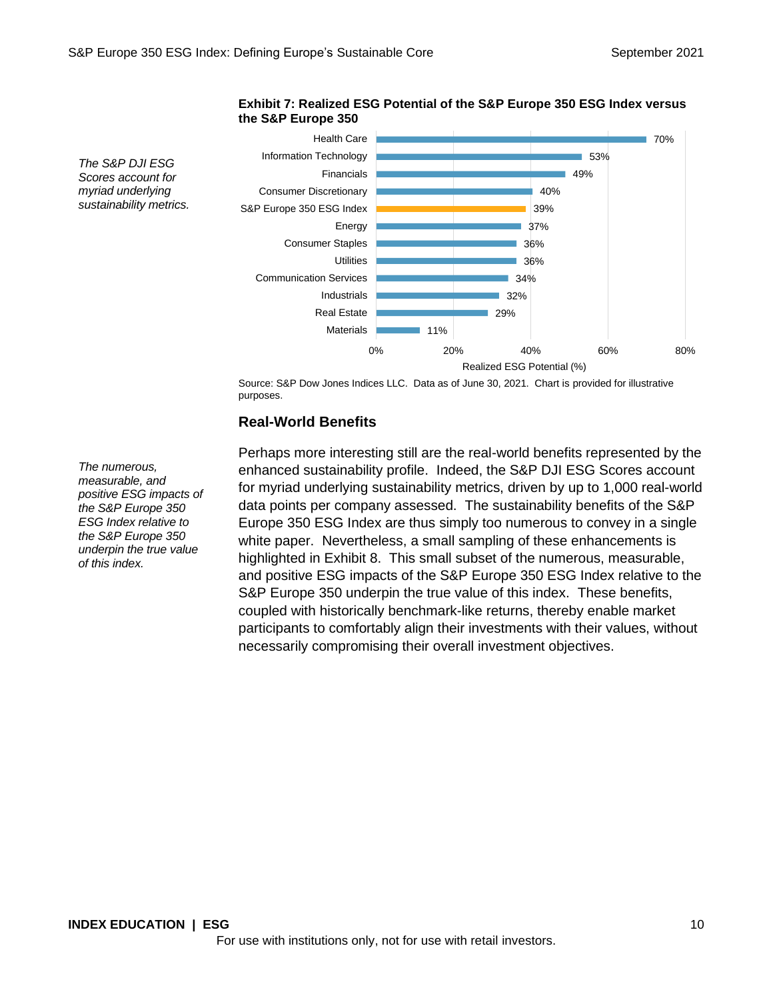

#### **Exhibit 7: Realized ESG Potential of the S&P Europe 350 ESG Index versus the S&P Europe 350**

Source: S&P Dow Jones Indices LLC. Data as of June 30, 2021. Chart is provided for illustrative purposes.

#### **Real-World Benefits**

Perhaps more interesting still are the real-world benefits represented by the enhanced sustainability profile. Indeed, the S&P DJI ESG Scores account for myriad underlying sustainability metrics, driven by up to 1,000 real-world data points per company assessed. The sustainability benefits of the S&P Europe 350 ESG Index are thus simply too numerous to convey in a single white paper. Nevertheless, a small sampling of these enhancements is highlighted in Exhibit 8. This small subset of the numerous, measurable, and positive ESG impacts of the S&P Europe 350 ESG Index relative to the S&P Europe 350 underpin the true value of this index. These benefits, coupled with historically benchmark-like returns, thereby enable market participants to comfortably align their investments with their values, without necessarily compromising their overall investment objectives.

*The numerous, measurable, and positive ESG impacts of the S&P Europe 350 ESG Index relative to the S&P Europe 350 underpin the true value of this index.*

*The S&P DJI ESG Scores account for myriad underlying sustainability metrics.*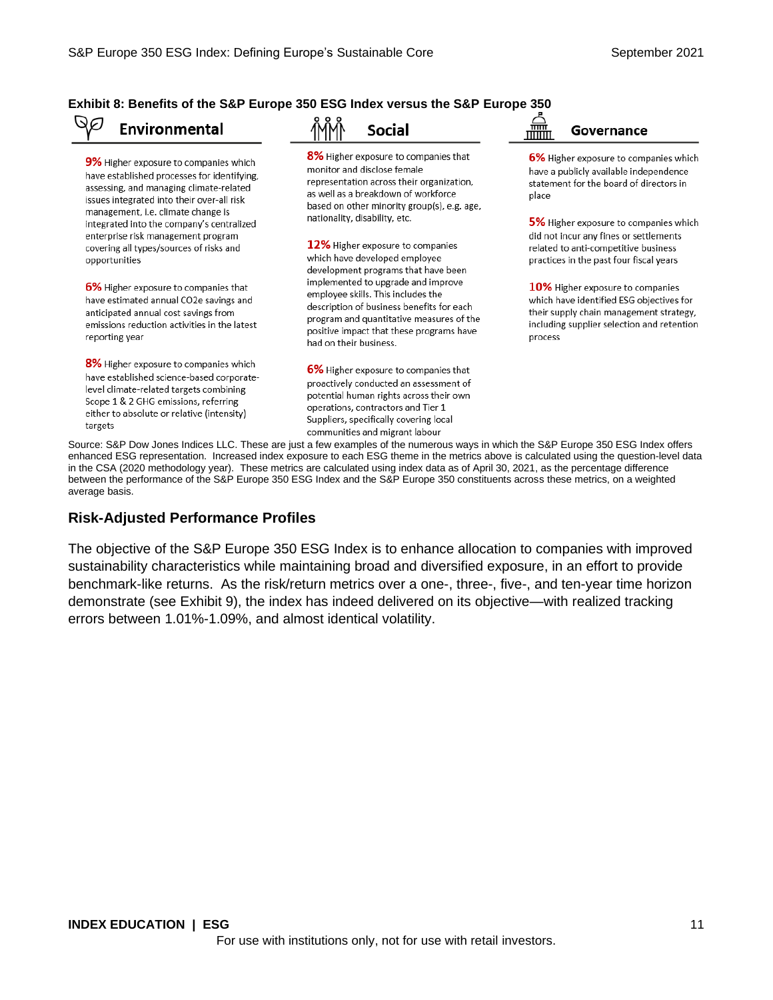#### **Exhibit 8: Benefits of the S&P Europe 350 ESG Index versus the S&P Europe 350**

#### QØ **Environmental**

9% Higher exposure to companies which have established processes for identifying, assessing, and managing climate-related issues integrated into their over-all risk management, i.e. climate change is integrated into the company's centralized enterprise risk management program covering all types/sources of risks and opportunities

6% Higher exposure to companies that have estimated annual CO2e savings and anticipated annual cost savings from emissions reduction activities in the latest reporting year

8% Higher exposure to companies which have established science-based corporatelevel climate-related targets combining Scope 1 & 2 GHG emissions, referring either to absolute or relative (intensity) targets

**Social** 

8% Higher exposure to companies that monitor and disclose female representation across their organization, as well as a breakdown of workforce based on other minority group(s), e.g. age, nationality, disability, etc.

12% Higher exposure to companies which have developed employee development programs that have been implemented to upgrade and improve employee skills. This includes the description of business benefits for each program and quantitative measures of the positive impact that these programs have had on their business.

6% Higher exposure to companies that proactively conducted an assessment of potential human rights across their own operations, contractors and Tier 1 Suppliers, specifically covering local communities and migrant labour

Governance

6% Higher exposure to companies which have a publicly available independence statement for the board of directors in place

5% Higher exposure to companies which did not incur any fines or settlements related to anti-competitive business practices in the past four fiscal years

10% Higher exposure to companies which have identified ESG objectives for their supply chain management strategy, including supplier selection and retention process

Source: S&P Dow Jones Indices LLC. These are just a few examples of the numerous ways in which the S&P Europe 350 ESG Index offers enhanced ESG representation. Increased index exposure to each ESG theme in the metrics above is calculated using the question-level data in the CSA (2020 methodology year). These metrics are calculated using index data as of April 30, 2021, as the percentage difference between the performance of the S&P Europe 350 ESG Index and the S&P Europe 350 constituents across these metrics, on a weighted average basis.

#### **Risk-Adjusted Performance Profiles**

The objective of the S&P Europe 350 ESG Index is to enhance allocation to companies with improved sustainability characteristics while maintaining broad and diversified exposure, in an effort to provide benchmark-like returns. As the risk/return metrics over a one-, three-, five-, and ten-year time horizon demonstrate (see Exhibit 9), the index has indeed delivered on its objective—with realized tracking errors between 1.01%-1.09%, and almost identical volatility.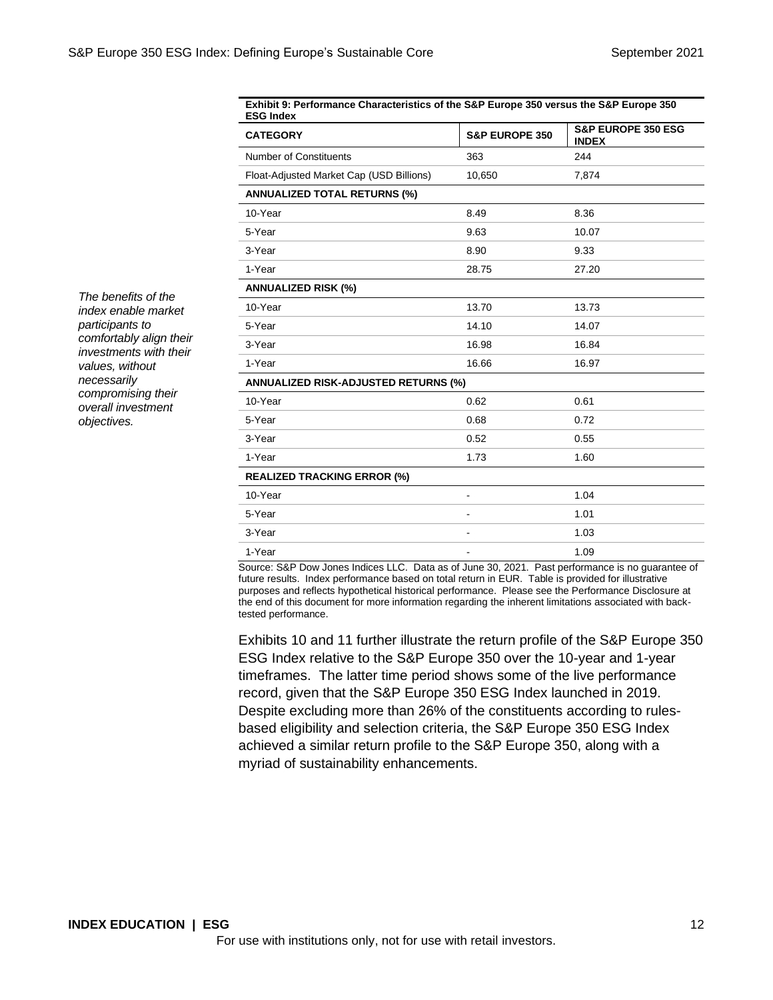| Exhibit 9. Ferformance Gharacteristics of the S&F Europe 350 versus the S&F Europe 350<br><b>ESG Index</b> |                           |                                               |  |  |
|------------------------------------------------------------------------------------------------------------|---------------------------|-----------------------------------------------|--|--|
| <b>CATEGORY</b>                                                                                            | <b>S&amp;P EUROPE 350</b> | <b>S&amp;P EUROPE 350 ESG</b><br><b>INDEX</b> |  |  |
| Number of Constituents                                                                                     | 363                       | 244                                           |  |  |
| Float-Adjusted Market Cap (USD Billions)                                                                   | 10,650                    | 7,874                                         |  |  |
| <b>ANNUALIZED TOTAL RETURNS (%)</b>                                                                        |                           |                                               |  |  |
| 10-Year                                                                                                    | 8.49                      | 8.36                                          |  |  |
| 5-Year                                                                                                     | 9.63                      | 10.07                                         |  |  |
| 3-Year                                                                                                     | 8.90                      | 9.33                                          |  |  |
| 1-Year                                                                                                     | 28.75                     | 27.20                                         |  |  |
| <b>ANNUALIZED RISK (%)</b>                                                                                 |                           |                                               |  |  |
| 10-Year                                                                                                    | 13.70                     | 13.73                                         |  |  |
| 5-Year                                                                                                     | 14.10                     | 14.07                                         |  |  |
| 3-Year                                                                                                     | 16.98                     | 16.84                                         |  |  |
| 1-Year                                                                                                     | 16.66                     | 16.97                                         |  |  |
| <b>ANNUALIZED RISK-ADJUSTED RETURNS (%)</b>                                                                |                           |                                               |  |  |
| 10-Year                                                                                                    | 0.62                      | 0.61                                          |  |  |
| 5-Year                                                                                                     | 0.68                      | 0.72                                          |  |  |
| 3-Year                                                                                                     | 0.52                      | 0.55                                          |  |  |
| 1-Year                                                                                                     | 1.73                      | 1.60                                          |  |  |
| <b>REALIZED TRACKING ERROR (%)</b>                                                                         |                           |                                               |  |  |
| 10-Year                                                                                                    | $\blacksquare$            | 1.04                                          |  |  |
| 5-Year                                                                                                     |                           | 1.01                                          |  |  |
| 3-Year                                                                                                     | $\blacksquare$            | 1.03                                          |  |  |
| 1-Year                                                                                                     |                           | 1.09                                          |  |  |

**Exhibit 9: Performance Characteristics of the S&P Europe 350 versus the S&P Europe 350** 

Source: S&P Dow Jones Indices LLC. Data as of June 30, 2021. Past performance is no guarantee of future results. Index performance based on total return in EUR. Table is provided for illustrative purposes and reflects hypothetical historical performance. Please see the Performance Disclosure at the end of this document for more information regarding the inherent limitations associated with backtested performance.

Exhibits 10 and 11 further illustrate the return profile of the S&P Europe 350 ESG Index relative to the S&P Europe 350 over the 10-year and 1-year timeframes. The latter time period shows some of the live performance record, given that the S&P Europe 350 ESG Index launched in 2019. Despite excluding more than 26% of the constituents according to rulesbased eligibility and selection criteria, the S&P Europe 350 ESG Index achieved a similar return profile to the S&P Europe 350, along with a myriad of sustainability enhancements.

*The benefits of the index enable market participants to comfortably align their investments with their values, without necessarily compromising their overall investment objectives.*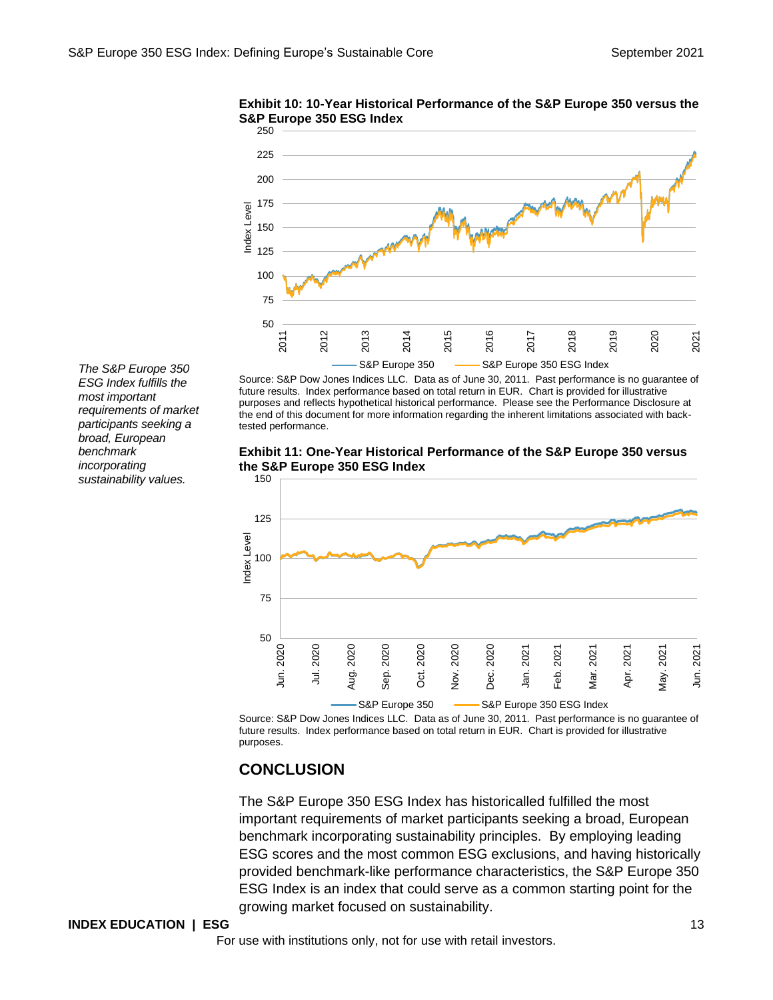

**Exhibit 10: 10-Year Historical Performance of the S&P Europe 350 versus the S&P Europe 350 ESG Index**

*The S&P Europe 350 ESG Index fulfills the most important requirements of market participants seeking a broad, European benchmark incorporating sustainability values.*

future results. Index performance based on total return in EUR. Chart is provided for illustrative purposes and reflects hypothetical historical performance. Please see the Performance Disclosure at the end of this document for more information regarding the inherent limitations associated with backtested performance.

Source: S&P Dow Jones Indices LLC. Data as of June 30, 2011. Past performance is no guarantee of

**Exhibit 11: One-Year Historical Performance of the S&P Europe 350 versus the S&P Europe 350 ESG Index**



Source: S&P Dow Jones Indices LLC. Data as of June 30, 2011. Past performance is no guarantee of future results. Index performance based on total return in EUR. Chart is provided for illustrative purposes.

# **CONCLUSION**

The S&P Europe 350 ESG Index has historicalled fulfilled the most important requirements of market participants seeking a broad, European benchmark incorporating sustainability principles. By employing leading ESG scores and the most common ESG exclusions, and having historically provided benchmark-like performance characteristics, the S&P Europe 350 ESG Index is an index that could serve as a common starting point for the growing market focused on sustainability.

#### **INDEX EDUCATION | ESG** 13

For use with institutions only, not for use with retail investors.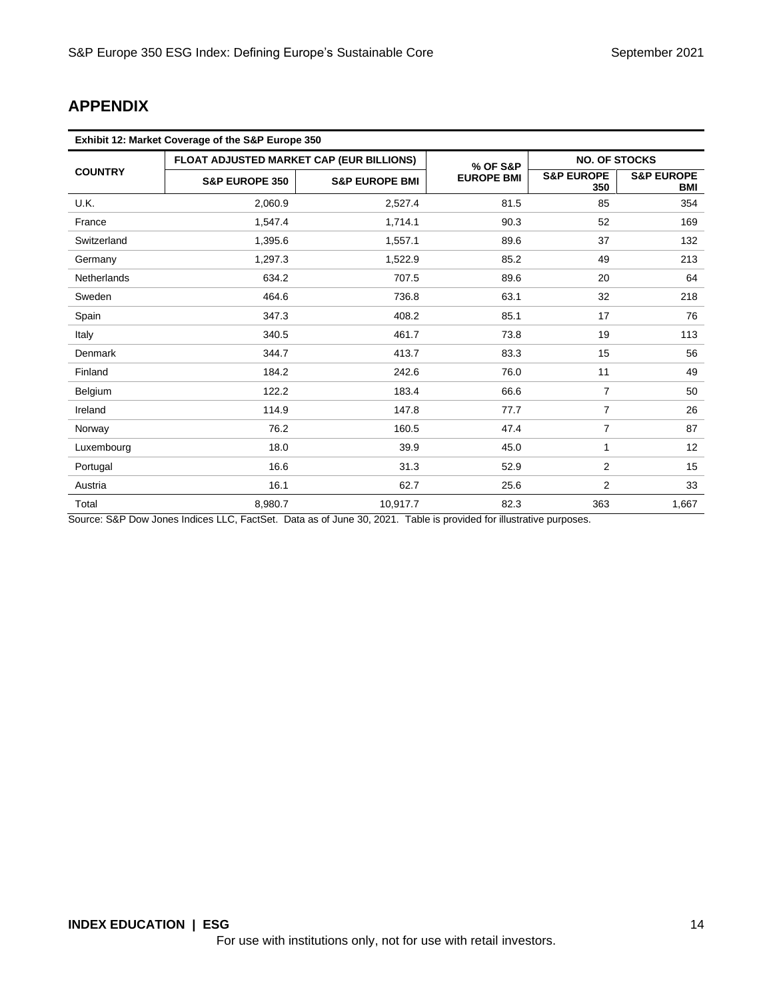# **APPENDIX**

| Exhibit 12: Market Coverage of the S&P Europe 350 |                                          |                           |                   |                              |                                     |  |
|---------------------------------------------------|------------------------------------------|---------------------------|-------------------|------------------------------|-------------------------------------|--|
|                                                   | FLOAT ADJUSTED MARKET CAP (EUR BILLIONS) |                           | % OF S&P          | <b>NO. OF STOCKS</b>         |                                     |  |
| <b>COUNTRY</b>                                    | <b>S&amp;P EUROPE 350</b>                | <b>S&amp;P EUROPE BMI</b> | <b>EUROPE BMI</b> | <b>S&amp;P EUROPE</b><br>350 | <b>S&amp;P EUROPE</b><br><b>BMI</b> |  |
| U.K.                                              | 2,060.9                                  | 2,527.4                   | 81.5              | 85                           | 354                                 |  |
| France                                            | 1,547.4                                  | 1,714.1                   | 90.3              | 52                           | 169                                 |  |
| Switzerland                                       | 1,395.6                                  | 1,557.1                   | 89.6              | 37                           | 132                                 |  |
| Germany                                           | 1,297.3                                  | 1,522.9                   | 85.2              | 49                           | 213                                 |  |
| <b>Netherlands</b>                                | 634.2                                    | 707.5                     | 89.6              | 20                           | 64                                  |  |
| Sweden                                            | 464.6                                    | 736.8                     | 63.1              | 32                           | 218                                 |  |
| Spain                                             | 347.3                                    | 408.2                     | 85.1              | 17                           | 76                                  |  |
| Italy                                             | 340.5                                    | 461.7                     | 73.8              | 19                           | 113                                 |  |
| <b>Denmark</b>                                    | 344.7                                    | 413.7                     | 83.3              | 15                           | 56                                  |  |
| Finland                                           | 184.2                                    | 242.6                     | 76.0              | 11                           | 49                                  |  |
| Belgium                                           | 122.2                                    | 183.4                     | 66.6              | $\overline{7}$               | 50                                  |  |
| Ireland                                           | 114.9                                    | 147.8                     | 77.7              | $\overline{7}$               | 26                                  |  |
| Norway                                            | 76.2                                     | 160.5                     | 47.4              | $\overline{7}$               | 87                                  |  |
| Luxembourg                                        | 18.0                                     | 39.9                      | 45.0              | 1                            | 12                                  |  |
| Portugal                                          | 16.6                                     | 31.3                      | 52.9              | 2                            | 15                                  |  |
| Austria                                           | 16.1                                     | 62.7                      | 25.6              | 2                            | 33                                  |  |
| Total                                             | 8,980.7                                  | 10,917.7                  | 82.3              | 363                          | 1,667                               |  |

Source: S&P Dow Jones Indices LLC, FactSet. Data as of June 30, 2021. Table is provided for illustrative purposes.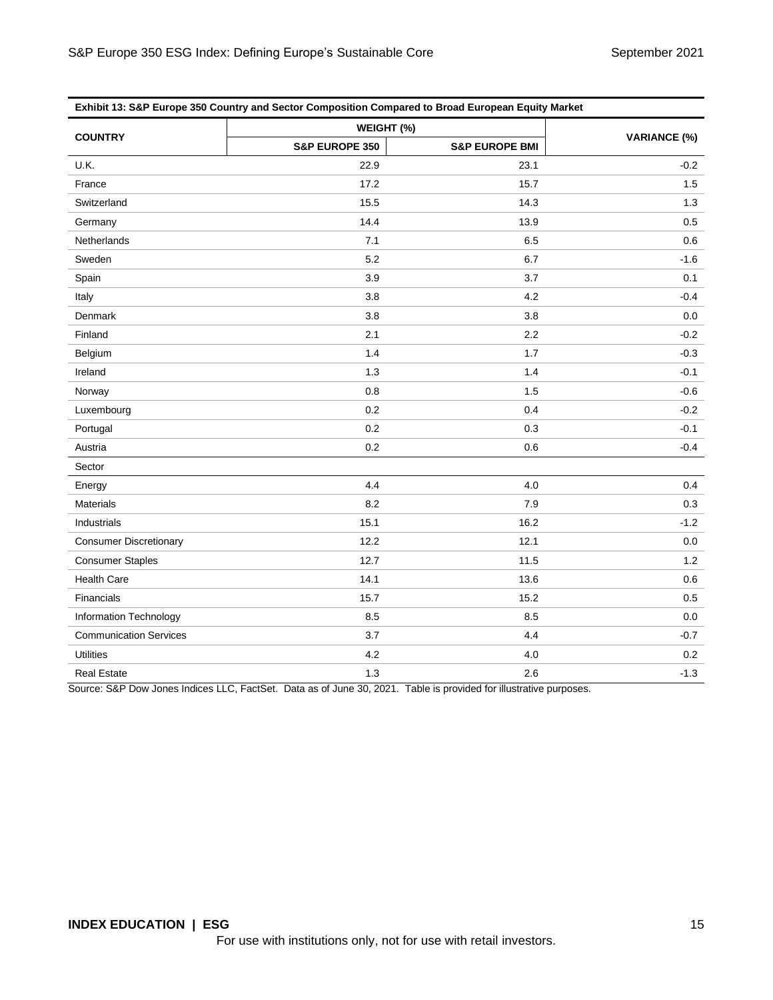| Exhibit 13: S&P Europe 350 Country and Sector Composition Compared to Broad European Equity Market |                |                           |        |  |  |  |
|----------------------------------------------------------------------------------------------------|----------------|---------------------------|--------|--|--|--|
| <b>COUNTRY</b>                                                                                     | WEIGHT (%)     | <b>VARIANCE (%)</b>       |        |  |  |  |
|                                                                                                    | S&P EUROPE 350 | <b>S&amp;P EUROPE BMI</b> |        |  |  |  |
| U.K.                                                                                               | 22.9           | 23.1                      | $-0.2$ |  |  |  |
| France                                                                                             | 17.2           | 15.7                      | 1.5    |  |  |  |
| Switzerland                                                                                        | 15.5           | 14.3                      | 1.3    |  |  |  |
| Germany                                                                                            | 14.4           | 13.9                      | 0.5    |  |  |  |
| Netherlands                                                                                        | 7.1            | 6.5                       | 0.6    |  |  |  |
| Sweden                                                                                             | 5.2            | 6.7                       | $-1.6$ |  |  |  |
| Spain                                                                                              | 3.9            | 3.7                       | 0.1    |  |  |  |
| Italy                                                                                              | 3.8            | 4.2                       | $-0.4$ |  |  |  |
| Denmark                                                                                            | 3.8            | 3.8                       | 0.0    |  |  |  |
| Finland                                                                                            | 2.1            | 2.2                       | $-0.2$ |  |  |  |
| Belgium                                                                                            | 1.4            | 1.7                       | $-0.3$ |  |  |  |
| Ireland                                                                                            | 1.3            | 1.4                       | $-0.1$ |  |  |  |
| Norway                                                                                             | 0.8            | 1.5                       | $-0.6$ |  |  |  |
| Luxembourg                                                                                         | 0.2            | 0.4                       | $-0.2$ |  |  |  |
| Portugal                                                                                           | 0.2            | 0.3                       | $-0.1$ |  |  |  |
| Austria                                                                                            | 0.2            | 0.6                       | $-0.4$ |  |  |  |
| Sector                                                                                             |                |                           |        |  |  |  |
| Energy                                                                                             | 4.4            | 4.0                       | 0.4    |  |  |  |
| <b>Materials</b>                                                                                   | 8.2            | 7.9                       | 0.3    |  |  |  |
| Industrials                                                                                        | 15.1           | 16.2                      | $-1.2$ |  |  |  |
| <b>Consumer Discretionary</b>                                                                      | 12.2           | 12.1                      | 0.0    |  |  |  |
| <b>Consumer Staples</b>                                                                            | 12.7           | 11.5                      | 1.2    |  |  |  |
| <b>Health Care</b>                                                                                 | 14.1           | 13.6                      | 0.6    |  |  |  |
| Financials                                                                                         | 15.7           | 15.2                      | 0.5    |  |  |  |
| Information Technology                                                                             | 8.5            | 8.5                       | 0.0    |  |  |  |
| <b>Communication Services</b>                                                                      | 3.7            | 4.4                       | $-0.7$ |  |  |  |
| <b>Utilities</b>                                                                                   | 4.2            | 4.0                       | 0.2    |  |  |  |
| <b>Real Estate</b>                                                                                 | 1.3            | 2.6                       | $-1.3$ |  |  |  |

Source: S&P Dow Jones Indices LLC, FactSet. Data as of June 30, 2021. Table is provided for illustrative purposes.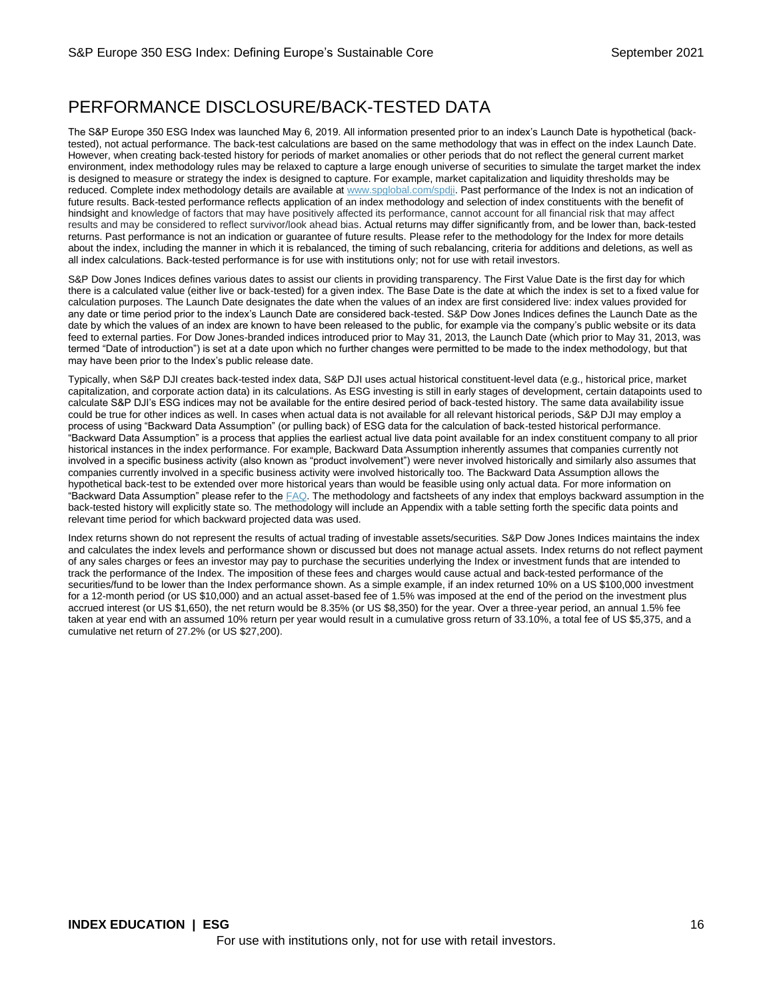# PERFORMANCE DISCLOSURE/BACK-TESTED DATA

The S&P Europe 350 ESG Index was launched May 6, 2019. All information presented prior to an index's Launch Date is hypothetical (backtested), not actual performance. The back-test calculations are based on the same methodology that was in effect on the index Launch Date. However, when creating back-tested history for periods of market anomalies or other periods that do not reflect the general current market environment, index methodology rules may be relaxed to capture a large enough universe of securities to simulate the target market the index is designed to measure or strategy the index is designed to capture. For example, market capitalization and liquidity thresholds may be reduced. Complete index methodology details are available at [www.spglobal.com/spdji.](http://www.spglobal.com/spdji/en/?utm_source=pdf_education) Past performance of the Index is not an indication of future results. Back-tested performance reflects application of an index methodology and selection of index constituents with the benefit of hindsight and knowledge of factors that may have positively affected its performance, cannot account for all financial risk that may affect results and may be considered to reflect survivor/look ahead bias. Actual returns may differ significantly from, and be lower than, back-tested returns. Past performance is not an indication or guarantee of future results. Please refer to the methodology for the Index for more details about the index, including the manner in which it is rebalanced, the timing of such rebalancing, criteria for additions and deletions, as well as all index calculations. Back-tested performance is for use with institutions only; not for use with retail investors.

S&P Dow Jones Indices defines various dates to assist our clients in providing transparency. The First Value Date is the first day for which there is a calculated value (either live or back-tested) for a given index. The Base Date is the date at which the index is set to a fixed value for calculation purposes. The Launch Date designates the date when the values of an index are first considered live: index values provided for any date or time period prior to the index's Launch Date are considered back-tested. S&P Dow Jones Indices defines the Launch Date as the date by which the values of an index are known to have been released to the public, for example via the company's public website or its data feed to external parties. For Dow Jones-branded indices introduced prior to May 31, 2013, the Launch Date (which prior to May 31, 2013, was termed "Date of introduction") is set at a date upon which no further changes were permitted to be made to the index methodology, but that may have been prior to the Index's public release date.

Typically, when S&P DJI creates back-tested index data, S&P DJI uses actual historical constituent-level data (e.g., historical price, market capitalization, and corporate action data) in its calculations. As ESG investing is still in early stages of development, certain datapoints used to calculate S&P DJI's ESG indices may not be available for the entire desired period of back-tested history. The same data availability issue could be true for other indices as well. In cases when actual data is not available for all relevant historical periods, S&P DJI may employ a process of using "Backward Data Assumption" (or pulling back) of ESG data for the calculation of back-tested historical performance. "Backward Data Assumption" is a process that applies the earliest actual live data point available for an index constituent company to all prior historical instances in the index performance. For example, Backward Data Assumption inherently assumes that companies currently not involved in a specific business activity (also known as "product involvement") were never involved historically and similarly also assumes that companies currently involved in a specific business activity were involved historically too. The Backward Data Assumption allows the hypothetical back-test to be extended over more historical years than would be feasible using only actual data. For more information on "Backward Data Assumption" please refer to the  $FAQ$ . The methodology and factsheets of any index that employs backward assumption in the back-tested history will explicitly state so. The methodology will include an Appendix with a table setting forth the specific data points and relevant time period for which backward projected data was used.

Index returns shown do not represent the results of actual trading of investable assets/securities. S&P Dow Jones Indices maintains the index and calculates the index levels and performance shown or discussed but does not manage actual assets. Index returns do not reflect payment of any sales charges or fees an investor may pay to purchase the securities underlying the Index or investment funds that are intended to track the performance of the Index. The imposition of these fees and charges would cause actual and back-tested performance of the securities/fund to be lower than the Index performance shown. As a simple example, if an index returned 10% on a US \$100,000 investment for a 12-month period (or US \$10,000) and an actual asset-based fee of 1.5% was imposed at the end of the period on the investment plus accrued interest (or US \$1,650), the net return would be 8.35% (or US \$8,350) for the year. Over a three-year period, an annual 1.5% fee taken at year end with an assumed 10% return per year would result in a cumulative gross return of 33.10%, a total fee of US \$5,375, and a cumulative net return of 27.2% (or US \$27,200).